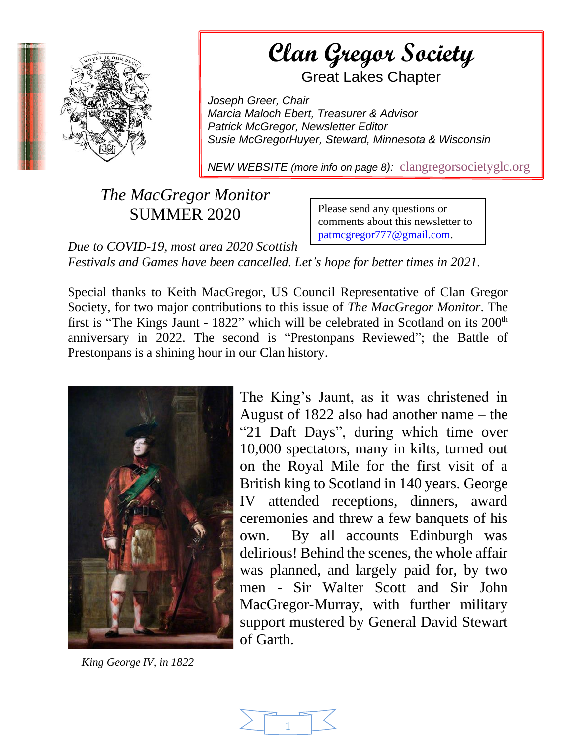

**Example a Gregor Society** 

AS A Section of the document. Use the Great Lakes Chapter

*Joseph Greer, Chair Marcia Maloch Ebert, Treasurer & Advisor Patrick McGregor, Newsletter Editor Susie McGregorHuyer, Steward, Minnesota & Wisconsin*

*NEW WEBSITE (more info on page 8):* [clangregorsocietyglc.org](https://clangregorsocietyglc.org/)

## *The MacGregor Monitor* SUMMER 2020

Please send any questions or comments about this newsletter to [patmcgregor777@gmail.com.](mailto:patmcgregor777@gmail.com)

*Due to COVID-19, most area 2020 Scottish Festivals and Games have been cancelled. Let's hope for better times in 2021.*

Special thanks to Keith MacGregor, US Council Representative of Clan Gregor Society, for two major contributions to this issue of *The MacGregor Monitor*. The first is "The Kings Jaunt - 1822" which will be celebrated in Scotland on its 200<sup>th</sup> anniversary in 2022. The second is "Prestonpans Reviewed"; the Battle of Prestonpans is a shining hour in our Clan history.



 *King George IV, in 1822*

The King's Jaunt, as it was christened in August of 1822 also had another name – the "21 Daft Days", during which time over 10,000 spectators, many in kilts, turned out on the Royal Mile for the first visit of a British king to Scotland in 140 years. George IV attended receptions, dinners, award ceremonies and threw a few banquets of his own. By all accounts Edinburgh was delirious! Behind the scenes, the whole affair was planned, and largely paid for, by two men - Sir Walter Scott and Sir John MacGregor-Murray, with further military support mustered by General David Stewart of Garth.

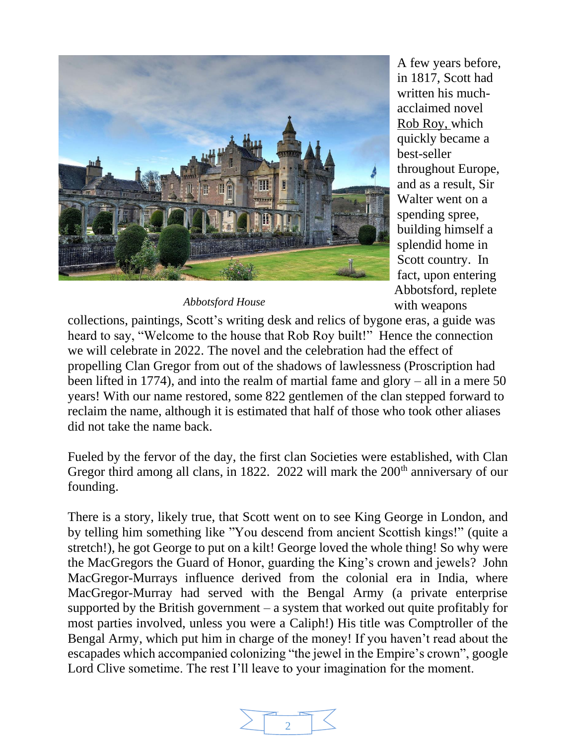

A few years before, in 1817, Scott had written his muchacclaimed novel Rob Roy, which quickly became a best-seller throughout Europe, and as a result, Sir Walter went on a spending spree, building himself a splendid home in Scott country. In fact, upon entering Abbotsford, replete with weapons

*Abbotsford House*

collections, paintings, Scott's writing desk and relics of bygone eras, a guide was heard to say, "Welcome to the house that Rob Roy built!" Hence the connection we will celebrate in 2022. The novel and the celebration had the effect of propelling Clan Gregor from out of the shadows of lawlessness (Proscription had been lifted in 1774), and into the realm of martial fame and glory – all in a mere 50 years! With our name restored, some 822 gentlemen of the clan stepped forward to reclaim the name, although it is estimated that half of those who took other aliases did not take the name back.

Fueled by the fervor of the day, the first clan Societies were established, with Clan Gregor third among all clans, in 1822. 2022 will mark the  $200<sup>th</sup>$  anniversary of our founding.

There is a story, likely true, that Scott went on to see King George in London, and by telling him something like "You descend from ancient Scottish kings!" (quite a stretch!), he got George to put on a kilt! George loved the whole thing! So why were the MacGregors the Guard of Honor, guarding the King's crown and jewels? John MacGregor-Murrays influence derived from the colonial era in India, where MacGregor-Murray had served with the Bengal Army (a private enterprise supported by the British government  $-$  a system that worked out quite profitably for most parties involved, unless you were a Caliph!) His title was Comptroller of the Bengal Army, which put him in charge of the money! If you haven't read about the escapades which accompanied colonizing "the jewel in the Empire's crown", google Lord Clive sometime. The rest I'll leave to your imagination for the moment.

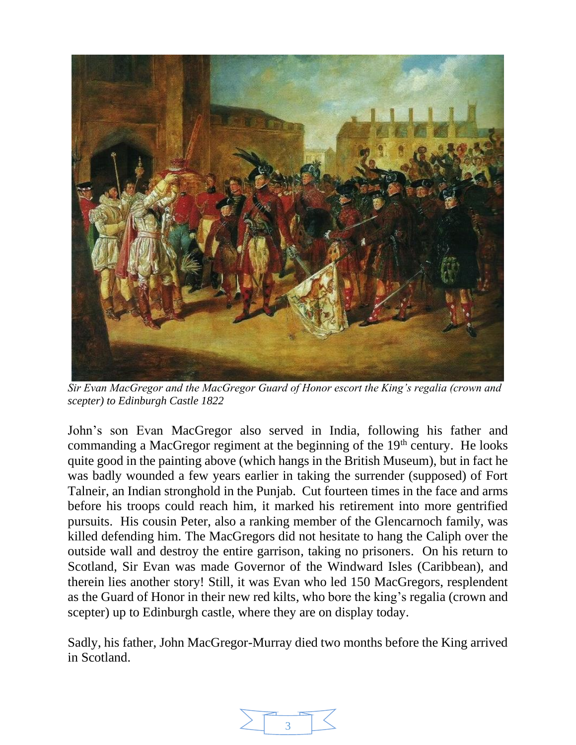

*Sir Evan MacGregor and the MacGregor Guard of Honor escort the King's regalia (crown and scepter) to Edinburgh Castle 1822*

John's son Evan MacGregor also served in India, following his father and commanding a MacGregor regiment at the beginning of the  $19<sup>th</sup>$  century. He looks quite good in the painting above (which hangs in the British Museum), but in fact he was badly wounded a few years earlier in taking the surrender (supposed) of Fort Talneir, an Indian stronghold in the Punjab. Cut fourteen times in the face and arms before his troops could reach him, it marked his retirement into more gentrified pursuits. His cousin Peter, also a ranking member of the Glencarnoch family, was killed defending him. The MacGregors did not hesitate to hang the Caliph over the outside wall and destroy the entire garrison, taking no prisoners. On his return to Scotland, Sir Evan was made Governor of the Windward Isles (Caribbean), and therein lies another story! Still, it was Evan who led 150 MacGregors, resplendent as the Guard of Honor in their new red kilts, who bore the king's regalia (crown and scepter) up to Edinburgh castle, where they are on display today.

Sadly, his father, John MacGregor-Murray died two months before the King arrived in Scotland.

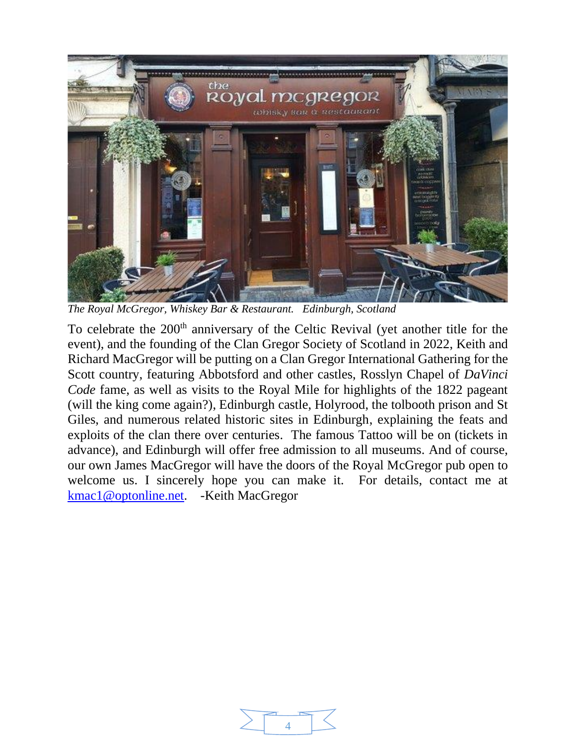

*The Royal McGregor, Whiskey Bar & Restaurant. Edinburgh, Scotland*

To celebrate the 200<sup>th</sup> anniversary of the Celtic Revival (yet another title for the event), and the founding of the Clan Gregor Society of Scotland in 2022, Keith and Richard MacGregor will be putting on a Clan Gregor International Gathering for the Scott country, featuring Abbotsford and other castles, Rosslyn Chapel of *DaVinci Code* fame, as well as visits to the Royal Mile for highlights of the 1822 pageant (will the king come again?), Edinburgh castle, Holyrood, the tolbooth prison and St Giles, and numerous related historic sites in Edinburgh, explaining the feats and exploits of the clan there over centuries. The famous Tattoo will be on (tickets in advance), and Edinburgh will offer free admission to all museums. And of course, our own James MacGregor will have the doors of the Royal McGregor pub open to welcome us. I sincerely hope you can make it. For details, contact me at [kmac1@optonline.net.](mailto:kmac1@optonline.net) -Keith MacGregor

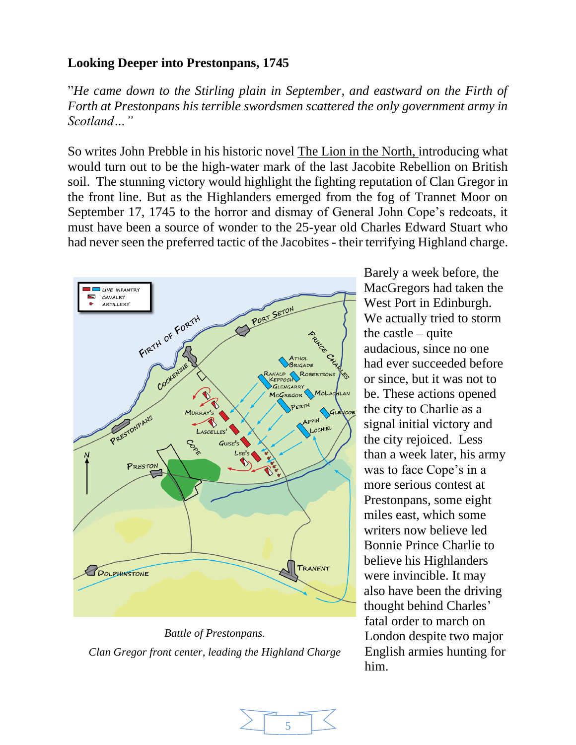## **Looking Deeper into Prestonpans, 1745**

"*He came down to the Stirling plain in September, and eastward on the Firth of Forth at Prestonpans his terrible swordsmen scattered the only government army in Scotland…"*

So writes John Prebble in his historic novel The Lion in the North, introducing what would turn out to be the high-water mark of the last Jacobite Rebellion on British soil. The stunning victory would highlight the fighting reputation of Clan Gregor in the front line. But as the Highlanders emerged from the fog of Trannet Moor on September 17, 1745 to the horror and dismay of General John Cope's redcoats, it must have been a source of wonder to the 25-year old Charles Edward Stuart who had never seen the preferred tactic of the Jacobites - their terrifying Highland charge.



*Battle of Prestonpans. Clan Gregor front center, leading the Highland Charge*

Barely a week before, the MacGregors had taken the West Port in Edinburgh. We actually tried to storm the castle – quite audacious, since no one had ever succeeded before or since, but it was not to be. These actions opened the city to Charlie as a signal initial victory and the city rejoiced. Less than a week later, his army was to face Cope's in a more serious contest at Prestonpans, some eight miles east, which some writers now believe led Bonnie Prince Charlie to believe his Highlanders were invincible. It may also have been the driving thought behind Charles' fatal order to march on London despite two major English armies hunting for him.

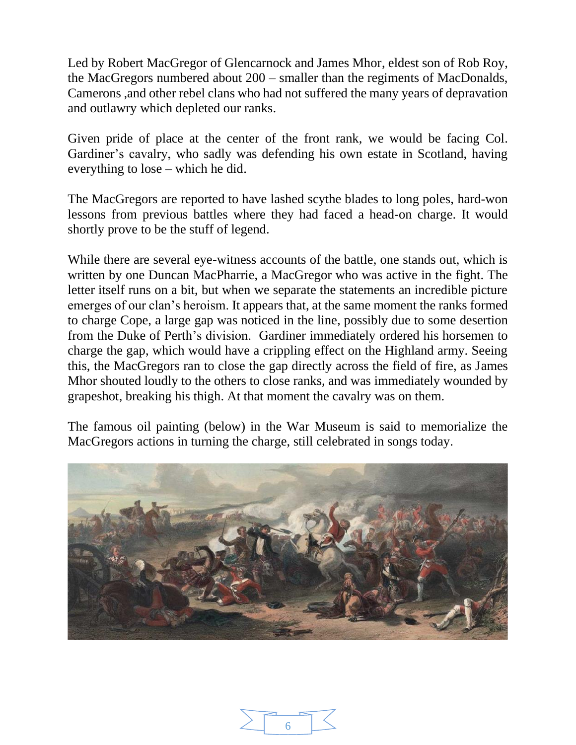Led by Robert MacGregor of Glencarnock and James Mhor, eldest son of Rob Roy, the MacGregors numbered about 200 – smaller than the regiments of MacDonalds, Camerons ,and other rebel clans who had not suffered the many years of depravation and outlawry which depleted our ranks.

Given pride of place at the center of the front rank, we would be facing Col. Gardiner's cavalry, who sadly was defending his own estate in Scotland, having everything to lose – which he did.

The MacGregors are reported to have lashed scythe blades to long poles, hard-won lessons from previous battles where they had faced a head-on charge. It would shortly prove to be the stuff of legend.

While there are several eye-witness accounts of the battle, one stands out, which is written by one Duncan MacPharrie, a MacGregor who was active in the fight. The letter itself runs on a bit, but when we separate the statements an incredible picture emerges of our clan's heroism. It appears that, at the same moment the ranks formed to charge Cope, a large gap was noticed in the line, possibly due to some desertion from the Duke of Perth's division. Gardiner immediately ordered his horsemen to charge the gap, which would have a crippling effect on the Highland army. Seeing this, the MacGregors ran to close the gap directly across the field of fire, as James Mhor shouted loudly to the others to close ranks, and was immediately wounded by grapeshot, breaking his thigh. At that moment the cavalry was on them.

The famous oil painting (below) in the War Museum is said to memorialize the MacGregors actions in turning the charge, still celebrated in songs today.



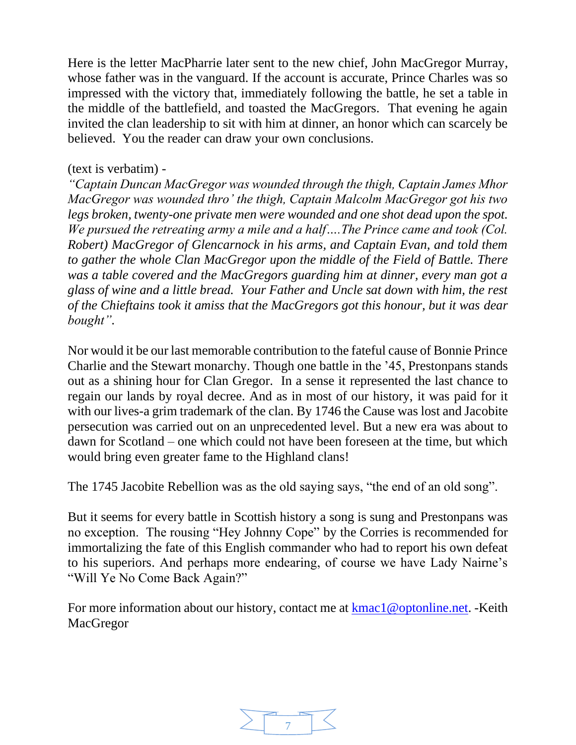Here is the letter MacPharrie later sent to the new chief, John MacGregor Murray, whose father was in the vanguard. If the account is accurate, Prince Charles was so impressed with the victory that, immediately following the battle, he set a table in the middle of the battlefield, and toasted the MacGregors. That evening he again invited the clan leadership to sit with him at dinner, an honor which can scarcely be believed. You the reader can draw your own conclusions.

## (text is verbatim) -

*"Captain Duncan MacGregor was wounded through the thigh, Captain James Mhor MacGregor was wounded thro' the thigh, Captain Malcolm MacGregor got his two legs broken, twenty-one private men were wounded and one shot dead upon the spot. We pursued the retreating army a mile and a half….The Prince came and took (Col. Robert) MacGregor of Glencarnock in his arms, and Captain Evan, and told them to gather the whole Clan MacGregor upon the middle of the Field of Battle. There was a table covered and the MacGregors guarding him at dinner, every man got a glass of wine and a little bread. Your Father and Uncle sat down with him, the rest of the Chieftains took it amiss that the MacGregors got this honour, but it was dear bought".*

Nor would it be our last memorable contribution to the fateful cause of Bonnie Prince Charlie and the Stewart monarchy. Though one battle in the '45, Prestonpans stands out as a shining hour for Clan Gregor. In a sense it represented the last chance to regain our lands by royal decree. And as in most of our history, it was paid for it with our lives-a grim trademark of the clan. By 1746 the Cause was lost and Jacobite persecution was carried out on an unprecedented level. But a new era was about to dawn for Scotland – one which could not have been foreseen at the time, but which would bring even greater fame to the Highland clans!

The 1745 Jacobite Rebellion was as the old saying says, "the end of an old song".

But it seems for every battle in Scottish history a song is sung and Prestonpans was no exception. The rousing "Hey Johnny Cope" by the Corries is recommended for immortalizing the fate of this English commander who had to report his own defeat to his superiors. And perhaps more endearing, of course we have Lady Nairne's "Will Ye No Come Back Again?"

For more information about our history, contact me at [kmac1@optonline.net.](mailto:kmac1@optonline.net) -Keith MacGregor